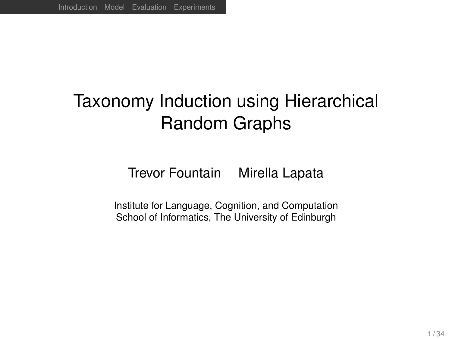# Taxonomy Induction using Hierarchical Random Graphs

#### Trevor Fountain Mirella Lapata

Institute for Language, Cognition, and Computation School of Informatics, The University of Edinburgh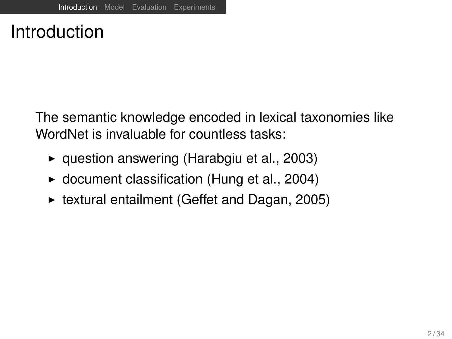The semantic knowledge encoded in lexical taxonomies like WordNet is invaluable for countless tasks:

- $\blacktriangleright$  question answering (Harabgiu et al., 2003)
- $\triangleright$  document classification (Hung et al., 2004)
- <span id="page-1-0"></span> $\triangleright$  textural entailment (Geffet and Dagan, 2005)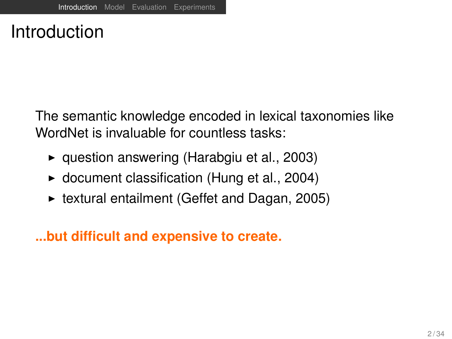The semantic knowledge encoded in lexical taxonomies like WordNet is invaluable for countless tasks:

- $\blacktriangleright$  question answering (Harabgiu et al., 2003)
- $\triangleright$  document classification (Hung et al., 2004)
- $\triangleright$  textural entailment (Geffet and Dagan, 2005)

**...but difficult and expensive to create.**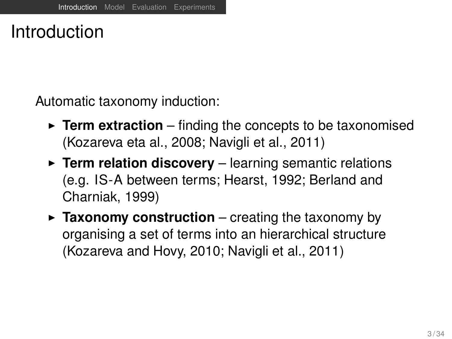Automatic taxonomy induction:

- $\triangleright$  **Term extraction** finding the concepts to be taxonomised (Kozareva eta al., 2008; Navigli et al., 2011)
- **Ferm relation discovery** learning semantic relations (e.g. IS-A between terms; Hearst, 1992; Berland and Charniak, 1999)
- **Figure 1** Taxonomy construction creating the taxonomy by organising a set of terms into an hierarchical structure (Kozareva and Hovy, 2010; Navigli et al., 2011)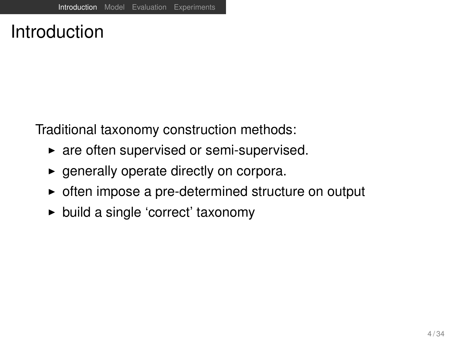Traditional taxonomy construction methods:

- $\triangleright$  are often supervised or semi-supervised.
- $\triangleright$  generally operate directly on corpora.
- $\triangleright$  often impose a pre-determined structure on output
- $\triangleright$  build a single 'correct' taxonomy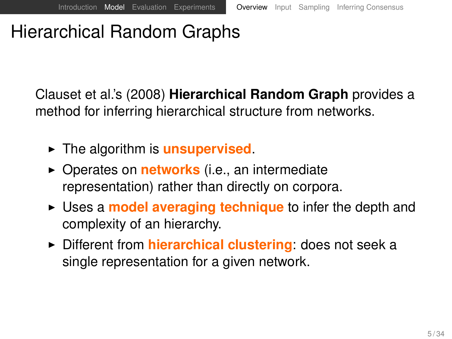# Hierarchical Random Graphs

Clauset et al.'s (2008) **Hierarchical Random Graph** provides a method for inferring hierarchical structure from networks.

- If The algorithm is **unsupervised**.
- ▶ Operates on **networks** (i.e., an intermediate representation) rather than directly on corpora.
- **If** Uses a **model averaging technique** to infer the depth and complexity of an hierarchy.
- <span id="page-5-0"></span>**Different from hierarchical clustering:** does not seek a single representation for a given network.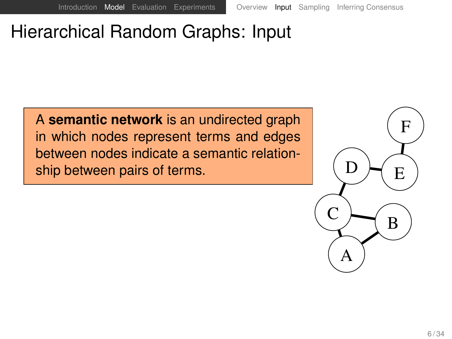### Hierarchical Random Graphs: Input

A **semantic network** is an undirected graph in which nodes represent terms and edges between nodes indicate a semantic relationship between pairs of terms.

<span id="page-6-0"></span>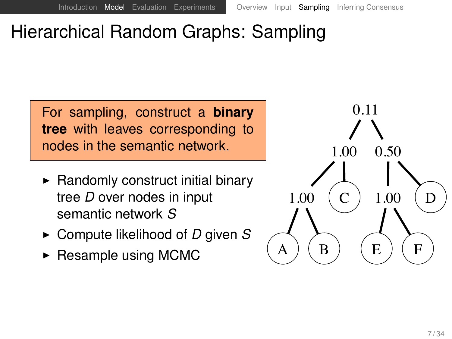For sampling, construct a **binary tree** with leaves corresponding to nodes in the semantic network.

- $\blacktriangleright$  Randomly construct initial binary tree *D* over nodes in input semantic network *S*
- ► Compute likelihood of *D* given *S*
- $\blacktriangleright$  Resample using MCMC

<span id="page-7-0"></span>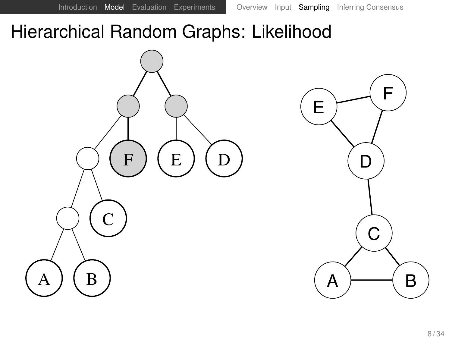

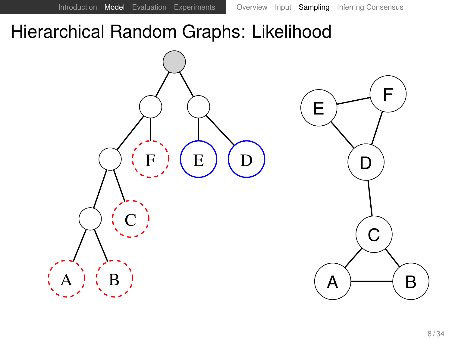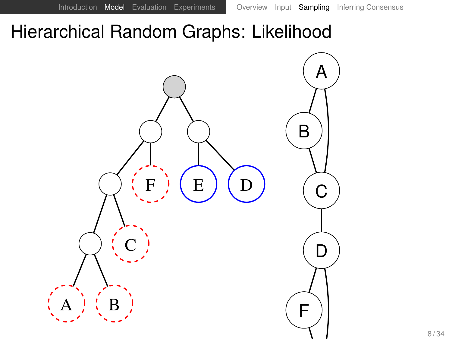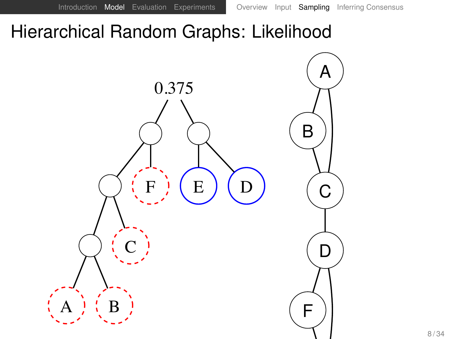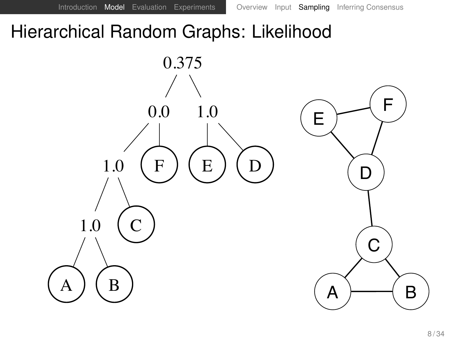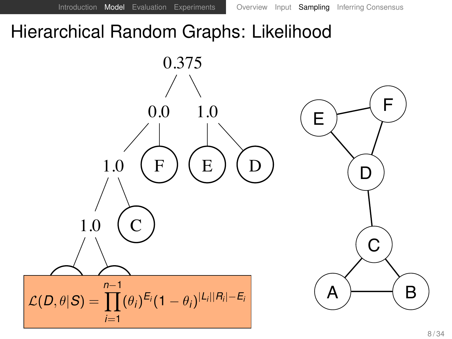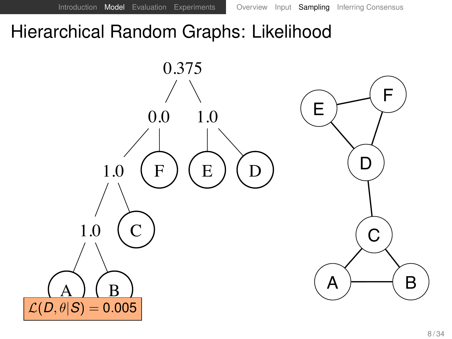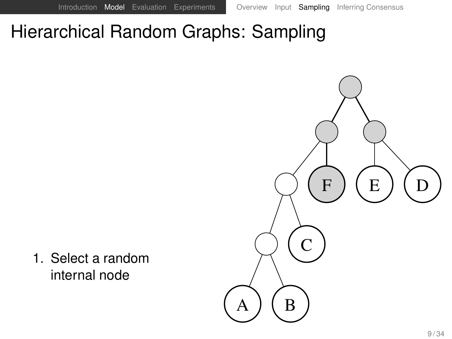$F$  ) (E) (D  $\mathsf C$ A ) (B

1. Select a random internal node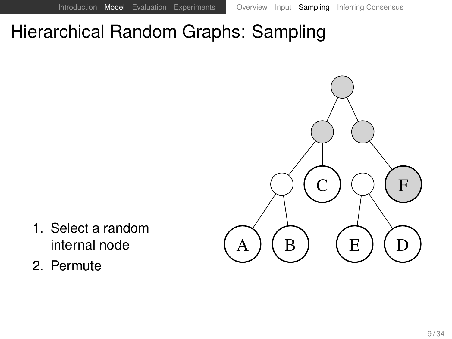C )  $\bigcup$  ( F A ) ( B ) ( E ) ( D

- 1. Select a random internal node
- 2. Permute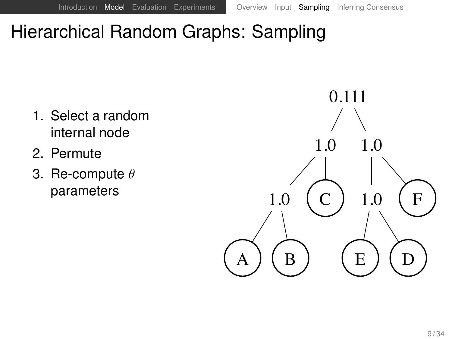- 1. Select a random internal node
- 2. Permute
- 3. Re-compute  $\theta$ parameters

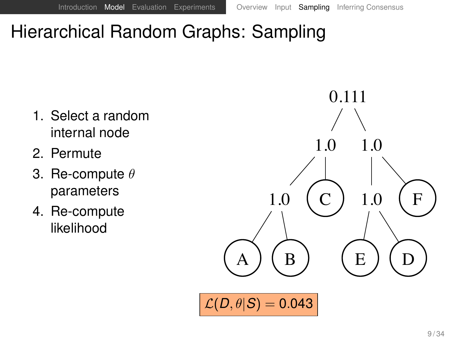- 1. Select a random internal node
- 2. Permute
- 3. Re-compute  $\theta$ parameters
- 4. Re-compute likelihood



$$
\mathcal{L}(D,\theta|S)=0.043
$$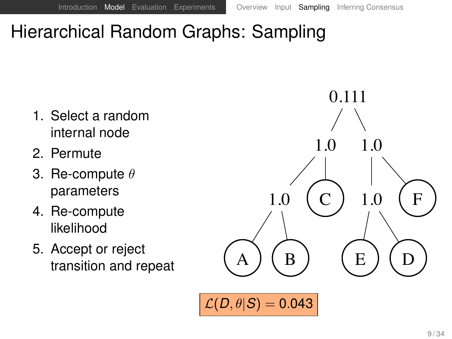- 1. Select a random internal node
- 2. Permute
- 3. Re-compute  $\theta$ parameters
- 4. Re-compute likelihood
- 5. Accept or reject transition and repeat



$$
\mathcal{L}(D,\theta|S)=0.043
$$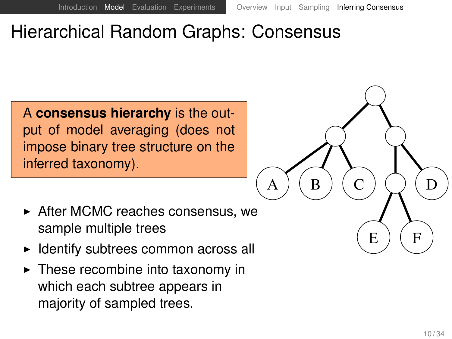A **consensus hierarchy** is the output of model averaging (does not impose binary tree structure on the inferred taxonomy).

<span id="page-20-0"></span>

- $\triangleright$  After MCMC reaches consensus, we sample multiple trees
- I dentify subtrees common across all
- $\blacktriangleright$  These recombine into taxonomy in which each subtree appears in majority of sampled trees.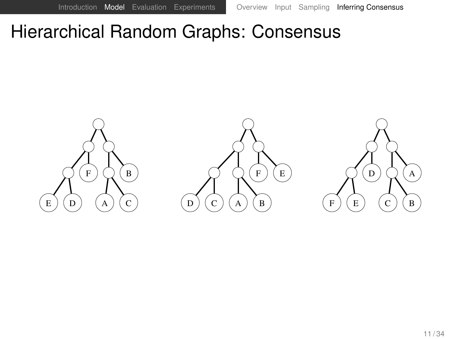



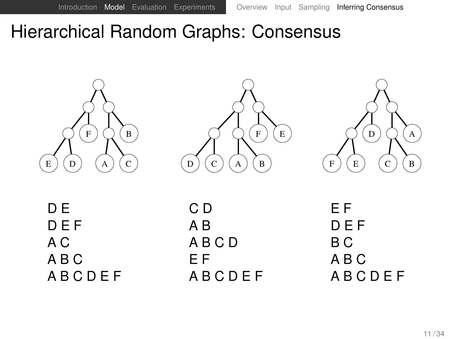





D E D E F A C A B C A B C D E F C D A B A B C D E F A B C D E F

E F D E F B C A B C A B C D E F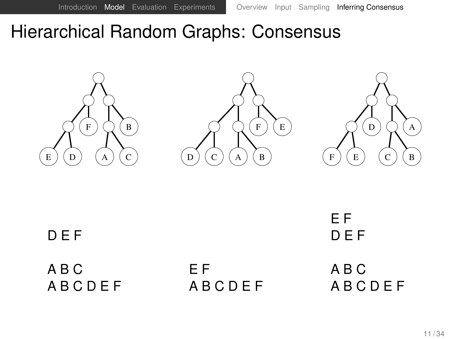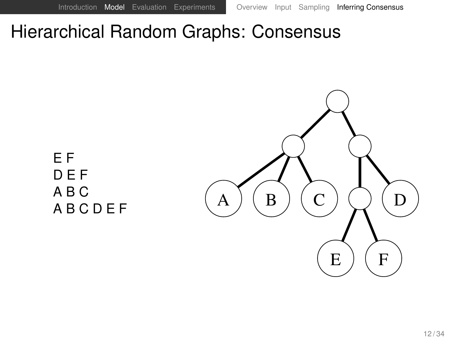E F D E F A B C A B C D E F

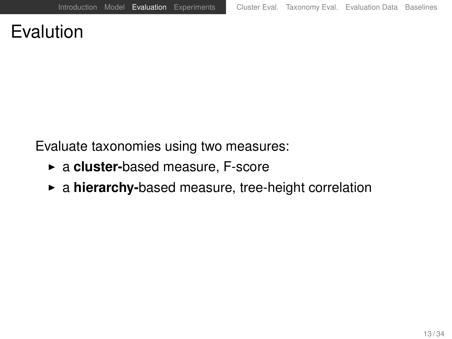# **Evalution**

Evaluate taxonomies using two measures:

- ► a **cluster-**based measure, F-score
- <span id="page-25-0"></span>**Ex** a **hierarchy-**based measure, tree-height correlation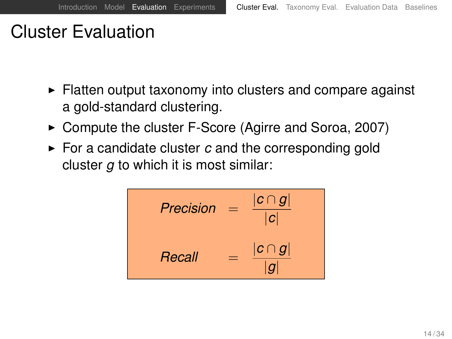## Cluster Evaluation

- $\blacktriangleright$  Flatten output taxonomy into clusters and compare against a gold-standard clustering.
- ► Compute the cluster F-Score (Agirre and Soroa, 2007)
- For a candidate cluster *c* and the corresponding gold cluster *g* to which it is most similar:

<span id="page-26-0"></span>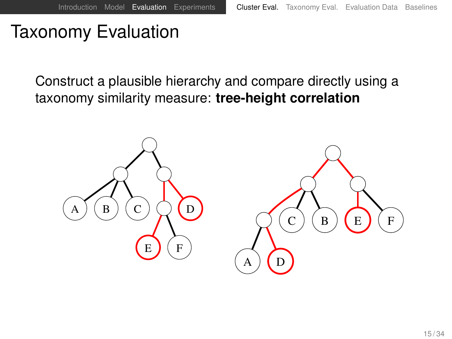# Taxonomy Evaluation

Construct a plausible hierarchy and compare directly using a taxonomy similarity measure: **tree-height correlation**

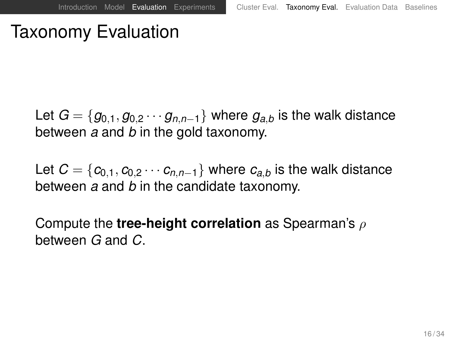### Taxonomy Evaluation

Let  $G = \{g_{0,1}, g_{0,2} \cdots g_{n,n-1}\}\$  where  $g_{a,b}$  is the walk distance between *a* and *b* in the gold taxonomy.

Let  $C = \{c_{0,1}, c_{0,2} \cdots c_{n,n-1}\}$  where  $c_{a,b}$  is the walk distance between *a* and *b* in the candidate taxonomy.

<span id="page-28-0"></span>Compute the **tree-height correlation** as Spearman's ρ between *G* and *C*.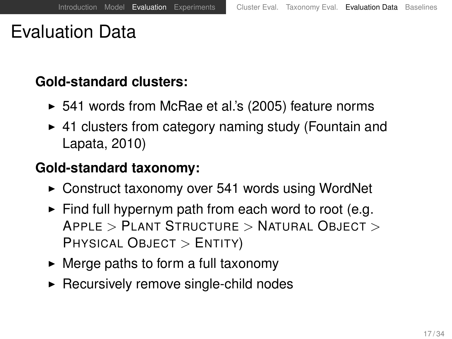## Evaluation Data

#### **Gold-standard clusters:**

- $\triangleright$  541 words from McRae et al.'s (2005) feature norms
- $\triangleright$  41 clusters from category naming study (Fountain and Lapata, 2010)

#### **Gold-standard taxonomy:**

- $\triangleright$  Construct taxonomy over 541 words using WordNet
- $\blacktriangleright$  Find full hypernym path from each word to root (e.g. APPLE > PLANT STRUCTURE > NATURAL OBJECT > PHYSICAL OBJECT > ENTITY)
- $\blacktriangleright$  Merge paths to form a full taxonomy
- <span id="page-29-0"></span> $\triangleright$  Recursively remove single-child nodes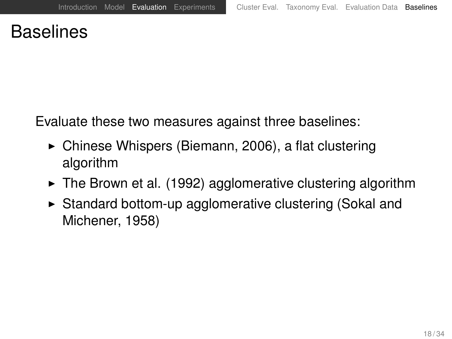### **Baselines**

Evaluate these two measures against three baselines:

- $\triangleright$  Chinese Whispers (Biemann, 2006), a flat clustering algorithm
- $\triangleright$  The Brown et al. (1992) agglomerative clustering algorithm
- <span id="page-30-0"></span> $\triangleright$  Standard bottom-up agglomerative clustering (Sokal and Michener, 1958)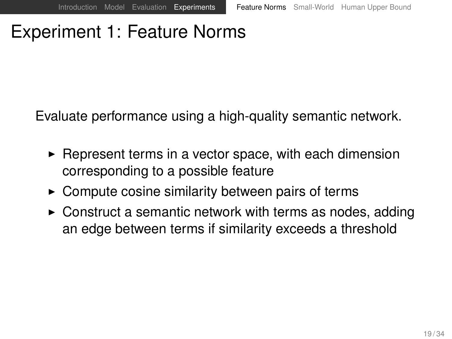# Experiment 1: Feature Norms

Evaluate performance using a high-quality semantic network.

- $\blacktriangleright$  Represent terms in a vector space, with each dimension corresponding to a possible feature
- $\triangleright$  Compute cosine similarity between pairs of terms
- <span id="page-31-0"></span> $\triangleright$  Construct a semantic network with terms as nodes, adding an edge between terms if similarity exceeds a threshold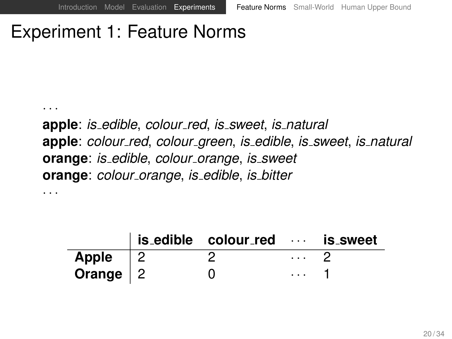### Experiment 1: Feature Norms

· · ·

· · ·

#### **apple**: *is edible*, *colour red*, *is sweet*, *is natural* **apple**: *colour red*, *colour green*, *is edible*, *is sweet*, *is natural* **orange**: *is edible*, *colour orange*, *is sweet* **orange**: *colour orange*, *is edible*, *is bitter*

|             | is_edible colour_red  is_sweet |                             |  |
|-------------|--------------------------------|-----------------------------|--|
| Apple 2     |                                | . 2                         |  |
| Orange $ 2$ |                                | $\sim$ $\sim$ $\sim$ $\sim$ |  |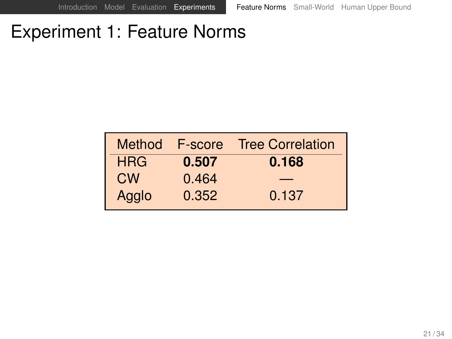### Experiment 1: Feature Norms

| <b>Method</b> | F-score | <b>Tree Correlation</b> |
|---------------|---------|-------------------------|
| <b>HRG</b>    | 0.507   | 0.168                   |
| CW            | 0.464   |                         |
| Agglo         | 0.352   | 0.137                   |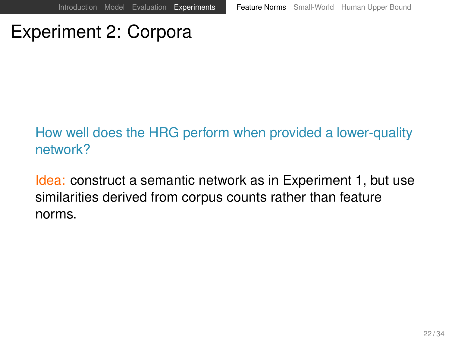### Experiment 2: Corpora

#### How well does the HRG perform when provided a lower-quality network?

Idea: construct a semantic network as in Experiment 1, but use similarities derived from corpus counts rather than feature norms.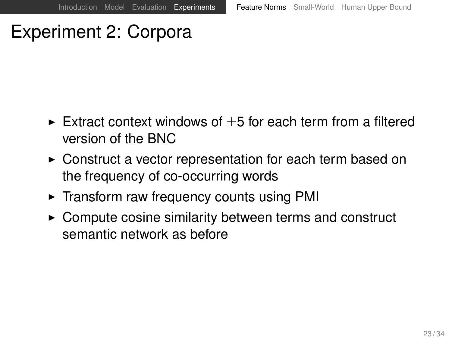# Experiment 2: Corpora

- $\triangleright$  Extract context windows of  $+5$  for each term from a filtered version of the BNC
- $\triangleright$  Construct a vector representation for each term based on the frequency of co-occurring words
- $\triangleright$  Transform raw frequency counts using PMI
- $\triangleright$  Compute cosine similarity between terms and construct semantic network as before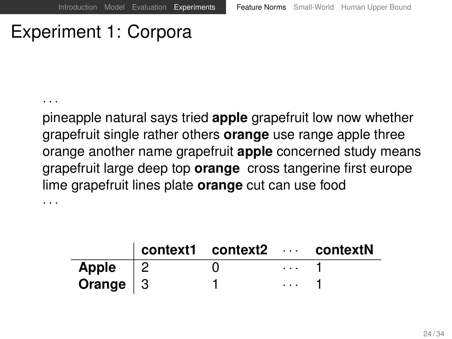### Experiment 1: Corpora

· · ·

· · ·

pineapple natural says tried **apple** grapefruit low now whether grapefruit single rather others **orange** use range apple three orange another name grapefruit **apple** concerned study means grapefruit large deep top **orange** cross tangerine first europe lime grapefruit lines plate **orange** cut can use food

**context1 context2** · · · **contextN Apple** 2 0 · · · **Orange** 3 1 · · · ·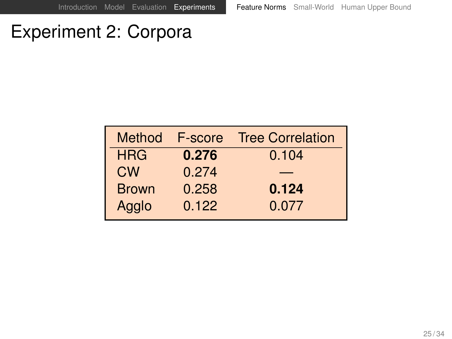## Experiment 2: Corpora

| Method       | F-score | <b>Tree Correlation</b> |
|--------------|---------|-------------------------|
| <b>HRG</b>   | 0.276   | 0.104                   |
| <b>CW</b>    | 0.274   |                         |
| <b>Brown</b> | 0.258   | 0.124                   |
| Agglo        | 0.122   | 0.077                   |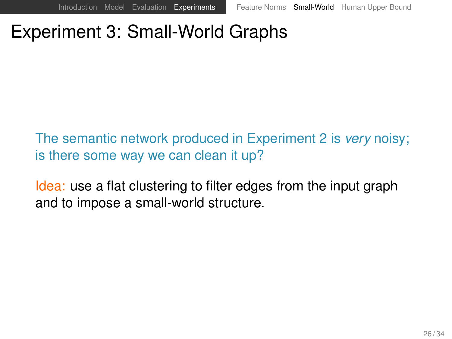The semantic network produced in Experiment 2 is *very* noisy; is there some way we can clean it up?

<span id="page-38-0"></span>Idea: use a flat clustering to filter edges from the input graph and to impose a small-world structure.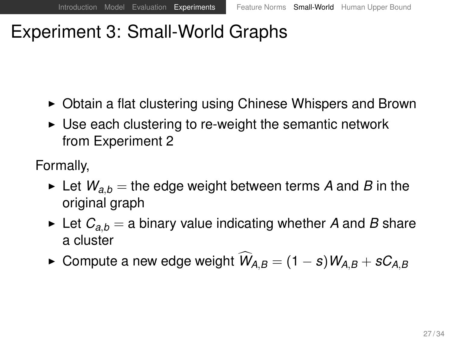- $\triangleright$  Obtain a flat clustering using Chinese Whispers and Brown
- $\triangleright$  Use each clustering to re-weight the semantic network from Experiment 2

Formally,

- $\blacktriangleright$  Let  $W_{a,b}$  = the edge weight between terms *A* and *B* in the original graph
- Extremary value indicating whether A and B share a cluster
- $\triangleright$  Compute a new edge weight  $\widehat{W}_{A,B} = (1 s)W_{A,B} + sC_{A,B}$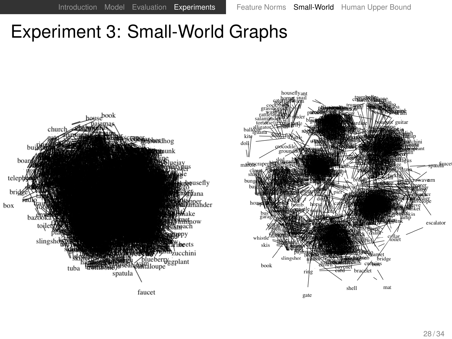

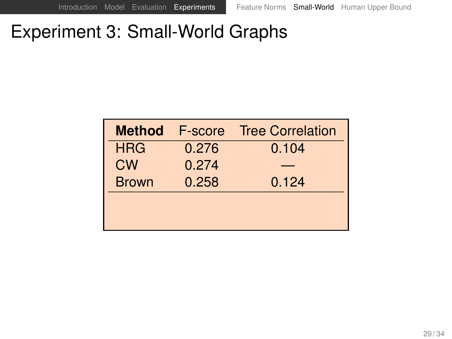| <b>Method</b> | F-score | <b>Tree Correlation</b> |
|---------------|---------|-------------------------|
| <b>HRG</b>    | 0.276   | 0.104                   |
| <b>CW</b>     | 0.274   |                         |
| <b>Brown</b>  | 0.258   | 0.124                   |
|               |         |                         |
|               |         |                         |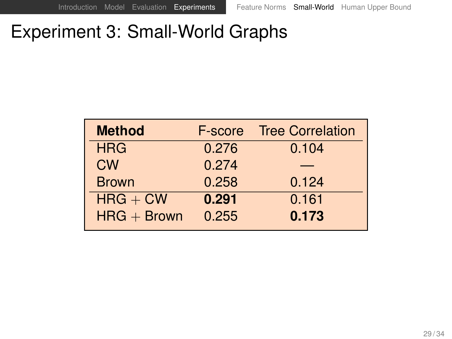| <b>Method</b> | F-score | <b>Tree Correlation</b> |
|---------------|---------|-------------------------|
| <b>HRG</b>    | 0.276   | 0.104                   |
| <b>CW</b>     | 0.274   |                         |
| <b>Brown</b>  | 0.258   | 0.124                   |
| $HRG + CW$    | 0.291   | 0.161                   |
| $HRG + Brown$ | 0.255   | 0.173                   |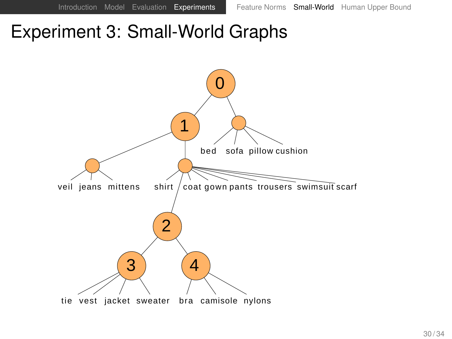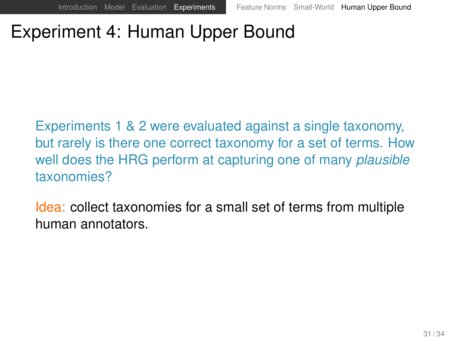Experiments 1 & 2 were evaluated against a single taxonomy, but rarely is there one correct taxonomy for a set of terms. How well does the HRG perform at capturing one of many *plausible* taxonomies?

<span id="page-44-0"></span>Idea: collect taxonomies for a small set of terms from multiple human annotators.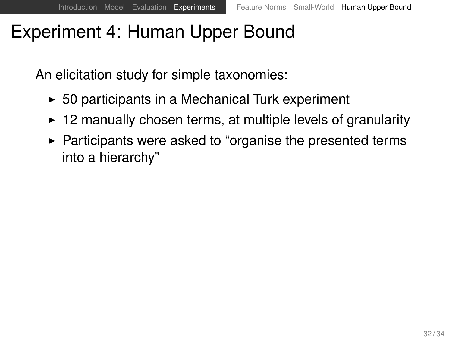An elicitation study for simple taxonomies:

- $\triangleright$  50 participants in a Mechanical Turk experiment
- 12 manually chosen terms, at multiple levels of granularity
- <sup>I</sup> Participants were asked to "organise the presented terms into a hierarchy"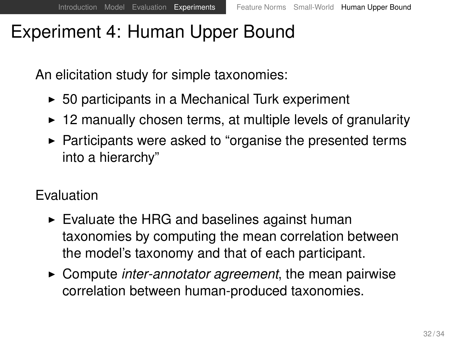An elicitation study for simple taxonomies:

- $\triangleright$  50 participants in a Mechanical Turk experiment
- $\triangleright$  12 manually chosen terms, at multiple levels of granularity
- $\blacktriangleright$  Participants were asked to "organise the presented terms into a hierarchy"

#### Evaluation

- $\triangleright$  Evaluate the HRG and baselines against human taxonomies by computing the mean correlation between the model's taxonomy and that of each participant.
- ► Compute *inter-annotator agreement*, the mean pairwise correlation between human-produced taxonomies.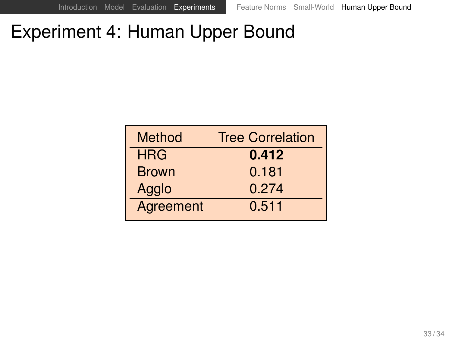| Method       | <b>Tree Correlation</b> |
|--------------|-------------------------|
| <b>HRG</b>   | 0.412                   |
| <b>Brown</b> | 0.181                   |
| Agglo        | 0.274                   |
| Agreement    | 0.511                   |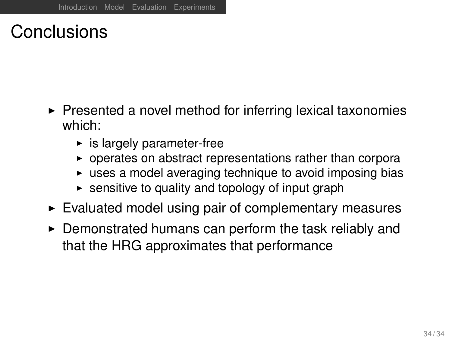### **Conclusions**

- $\triangleright$  Presented a novel method for inferring lexical taxonomies which:
	- $\blacktriangleright$  is largely parameter-free
	- $\triangleright$  operates on abstract representations rather than corpora
	- $\triangleright$  uses a model averaging technique to avoid imposing bias
	- $\triangleright$  sensitive to quality and topology of input graph
- $\triangleright$  Evaluated model using pair of complementary measures
- $\triangleright$  Demonstrated humans can perform the task reliably and that the HRG approximates that performance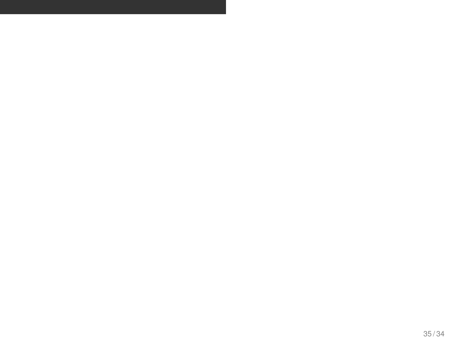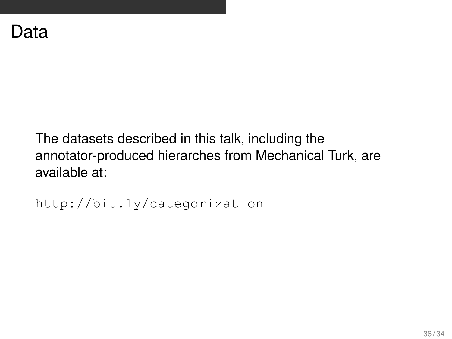The datasets described in this talk, including the annotator-produced hierarches from Mechanical Turk, are available at:

<http://bit.ly/categorization>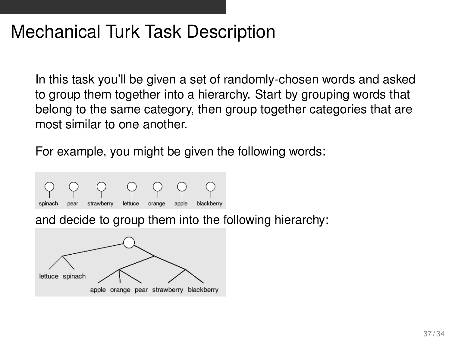# Mechanical Turk Task Description

In this task you'll be given a set of randomly-chosen words and asked to group them together into a hierarchy. Start by grouping words that belong to the same category, then group together categories that are most similar to one another.

For example, you might be given the following words:



and decide to group them into the following hierarchy: